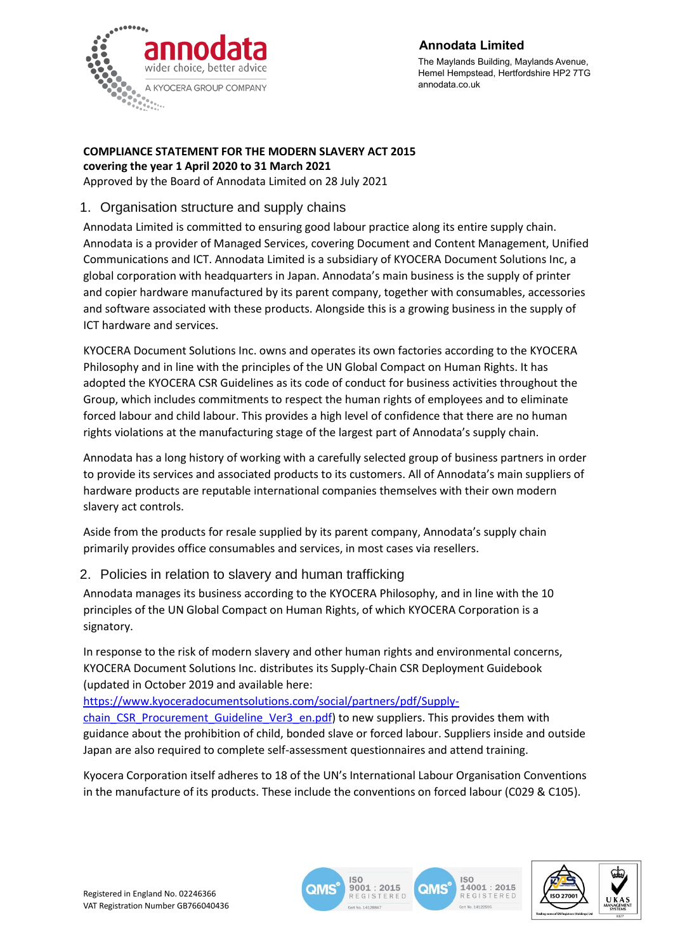

## **Annodata Limited**

The Maylands Building, Maylands Avenue, Hemel Hempstead, Hertfordshire HP2 7TG annodata.co.uk

#### **COMPLIANCE STATEMENT FOR THE MODERN SLAVERY ACT 2015 covering the year 1 April 2020 to 31 March 2021**

Approved by the Board of Annodata Limited on 28 July 2021

# 1. Organisation structure and supply chains

Annodata Limited is committed to ensuring good labour practice along its entire supply chain. Annodata is a provider of Managed Services, covering Document and Content Management, Unified Communications and ICT. Annodata Limited is a subsidiary of KYOCERA Document Solutions Inc, a global corporation with headquarters in Japan. Annodata's main business is the supply of printer and copier hardware manufactured by its parent company, together with consumables, accessories and software associated with these products. Alongside this is a growing business in the supply of ICT hardware and services.

KYOCERA Document Solutions Inc. owns and operates its own factories according to the KYOCERA Philosophy and in line with the principles of the UN Global Compact on Human Rights. It has adopted the KYOCERA CSR Guidelines as its code of conduct for business activities throughout the Group, which includes commitments to respect the human rights of employees and to eliminate forced labour and child labour. This provides a high level of confidence that there are no human rights violations at the manufacturing stage of the largest part of Annodata's supply chain.

Annodata has a long history of working with a carefully selected group of business partners in order to provide its services and associated products to its customers. All of Annodata's main suppliers of hardware products are reputable international companies themselves with their own modern slavery act controls.

Aside from the products for resale supplied by its parent company, Annodata's supply chain primarily provides office consumables and services, in most cases via resellers.

## 2. Policies in relation to slavery and human trafficking

Annodata manages its business according to the KYOCERA Philosophy, and in line with the 10 principles of the UN Global Compact on Human Rights, of which KYOCERA Corporation is a signatory.

In response to the risk of modern slavery and other human rights and environmental concerns, KYOCERA Document Solutions Inc. distributes its Supply-Chain CSR Deployment Guidebook (updated in October 2019 and available here:

[https://www.kyoceradocumentsolutions.com/social/partners/pdf/Supply](https://www.kyoceradocumentsolutions.com/social/partners/pdf/Supply-chain_CSR_Procurement_Guideline_Ver3_en.pdf)[chain\\_CSR\\_Procurement\\_Guideline\\_Ver3\\_en.pdf\)](https://www.kyoceradocumentsolutions.com/social/partners/pdf/Supply-chain_CSR_Procurement_Guideline_Ver3_en.pdf) to new suppliers. This provides them with guidance about the prohibition of child, bonded slave or forced labour. Suppliers inside and outside Japan are also required to complete self-assessment questionnaires and attend training.

Kyocera Corporation itself adheres to 18 of the UN's International Labour Organisation Conventions in the manufacture of its products. These include the conventions on forced labour (C029 & C105).



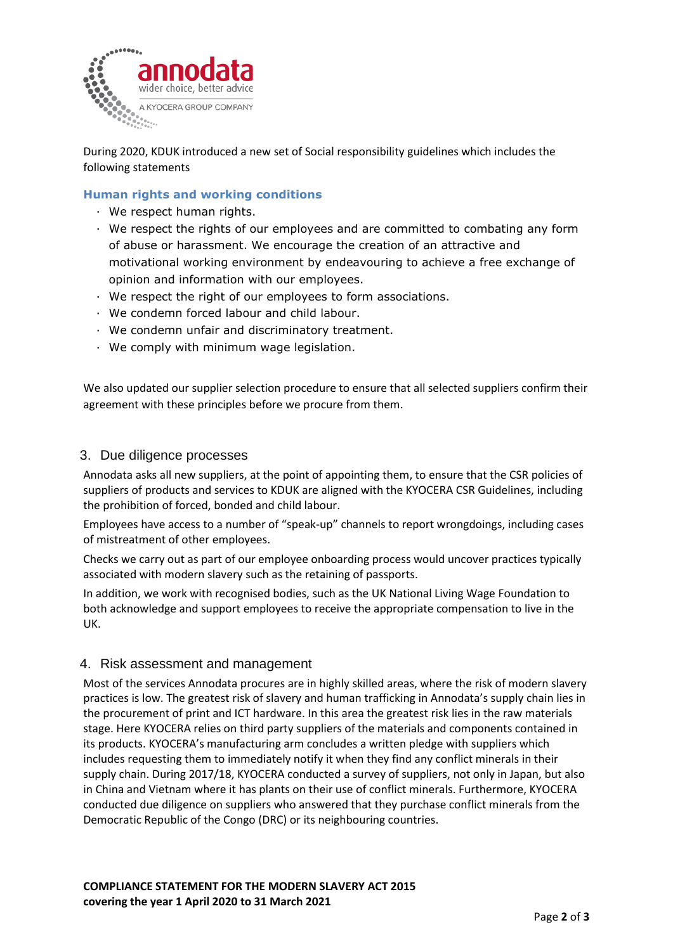

During 2020, KDUK introduced a new set of Social responsibility guidelines which includes the following statements

#### **Human rights and working conditions**

- · We respect human rights.
- · We respect the rights of our employees and are committed to combating any form of abuse or harassment. We encourage the creation of an attractive and motivational working environment by endeavouring to achieve a free exchange of opinion and information with our employees.
- · We respect the right of our employees to form associations.
- · We condemn forced labour and child labour.
- · We condemn unfair and discriminatory treatment.
- · We comply with minimum wage legislation.

We also updated our supplier selection procedure to ensure that all selected suppliers confirm their agreement with these principles before we procure from them.

#### 3. Due diligence processes

Annodata asks all new suppliers, at the point of appointing them, to ensure that the CSR policies of suppliers of products and services to KDUK are aligned with the KYOCERA CSR Guidelines, including the prohibition of forced, bonded and child labour.

Employees have access to a number of "speak-up" channels to report wrongdoings, including cases of mistreatment of other employees.

Checks we carry out as part of our employee onboarding process would uncover practices typically associated with modern slavery such as the retaining of passports.

In addition, we work with recognised bodies, such as the UK National Living Wage Foundation to both acknowledge and support employees to receive the appropriate compensation to live in the UK.

#### 4. Risk assessment and management

Most of the services Annodata procures are in highly skilled areas, where the risk of modern slavery practices is low. The greatest risk of slavery and human trafficking in Annodata's supply chain lies in the procurement of print and ICT hardware. In this area the greatest risk lies in the raw materials stage. Here KYOCERA relies on third party suppliers of the materials and components contained in its products. KYOCERA's manufacturing arm concludes a written pledge with suppliers which includes requesting them to immediately notify it when they find any conflict minerals in their supply chain. During 2017/18, KYOCERA conducted a survey of suppliers, not only in Japan, but also in China and Vietnam where it has plants on their use of conflict minerals. Furthermore, KYOCERA conducted due diligence on suppliers who answered that they purchase conflict minerals from the Democratic Republic of the Congo (DRC) or its neighbouring countries.